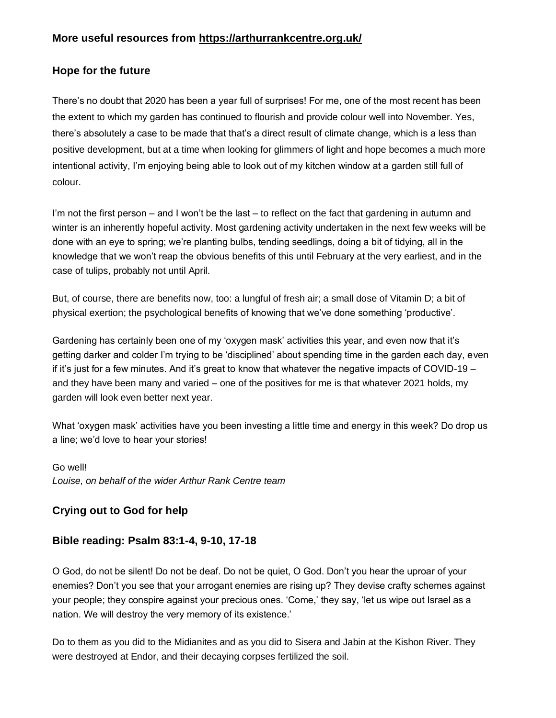## **Hope for the future**

There's no doubt that 2020 has been a year full of surprises! For me, one of the most recent has been the extent to which my garden has continued to flourish and provide colour well into November. Yes, there's absolutely a case to be made that that's a direct result of climate change, which is a less than positive development, but at a time when looking for glimmers of light and hope becomes a much more intentional activity, I'm enjoying being able to look out of my kitchen window at a garden still full of colour.

I'm not the first person – and I won't be the last – to reflect on the fact that gardening in autumn and winter is an inherently hopeful activity. Most gardening activity undertaken in the next few weeks will be done with an eye to spring; we're planting bulbs, tending seedlings, doing a bit of tidying, all in the knowledge that we won't reap the obvious benefits of this until February at the very earliest, and in the case of tulips, probably not until April.

But, of course, there are benefits now, too: a lungful of fresh air; a small dose of Vitamin D; a bit of physical exertion; the psychological benefits of knowing that we've done something 'productive'.

Gardening has certainly been one of my 'oxygen mask' activities this year, and even now that it's getting darker and colder I'm trying to be 'disciplined' about spending time in the garden each day, even if it's just for a few minutes. And it's great to know that whatever the negative impacts of COVID-19 – and they have been many and varied – one of the positives for me is that whatever 2021 holds, my garden will look even better next year.

What 'oxygen mask' activities have you been investing a little time and energy in this week? Do drop us a line; we'd love to hear your stories!

Go well! *Louise, on behalf of the wider Arthur Rank Centre team*

# **Crying out to God for help**

### **Bible reading: Psalm 83:1-4, 9-10, 17-18**

O God, do not be silent! Do not be deaf. Do not be quiet, O God. Don't you hear the uproar of your enemies? Don't you see that your arrogant enemies are rising up? They devise crafty schemes against your people; they conspire against your precious ones. 'Come,' they say, 'let us wipe out Israel as a nation. We will destroy the very memory of its existence.'

Do to them as you did to the Midianites and as you did to Sisera and Jabin at the Kishon River. They were destroyed at Endor, and their decaying corpses fertilized the soil.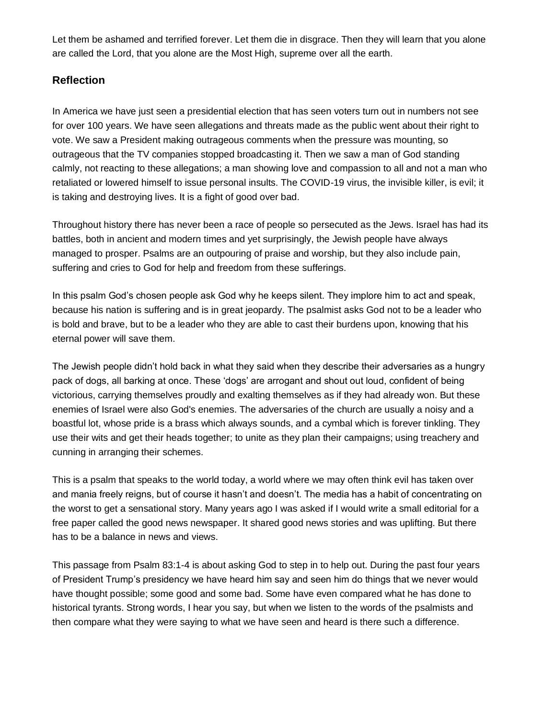Let them be ashamed and terrified forever. Let them die in disgrace. Then they will learn that you alone are called the Lord, that you alone are the Most High, supreme over all the earth.

### **Reflection**

In America we have just seen a presidential election that has seen voters turn out in numbers not see for over 100 years. We have seen allegations and threats made as the public went about their right to vote. We saw a President making outrageous comments when the pressure was mounting, so outrageous that the TV companies stopped broadcasting it. Then we saw a man of God standing calmly, not reacting to these allegations; a man showing love and compassion to all and not a man who retaliated or lowered himself to issue personal insults. The COVID-19 virus, the invisible killer, is evil; it is taking and destroying lives. It is a fight of good over bad.

Throughout history there has never been a race of people so persecuted as the Jews. Israel has had its battles, both in ancient and modern times and yet surprisingly, the Jewish people have always managed to prosper. Psalms are an outpouring of praise and worship, but they also include pain, suffering and cries to God for help and freedom from these sufferings.

In this psalm God's chosen people ask God why he keeps silent. They implore him to act and speak, because his nation is suffering and is in great jeopardy. The psalmist asks God not to be a leader who is bold and brave, but to be a leader who they are able to cast their burdens upon, knowing that his eternal power will save them.

The Jewish people didn't hold back in what they said when they describe their adversaries as a hungry pack of dogs, all barking at once. These 'dogs' are arrogant and shout out loud, confident of being victorious, carrying themselves proudly and exalting themselves as if they had already won. But these enemies of Israel were also God's enemies. The adversaries of the church are usually a noisy and a boastful lot, whose pride is a brass which always sounds, and a cymbal which is forever tinkling. They use their wits and get their heads together; to unite as they plan their campaigns; using treachery and cunning in arranging their schemes.

This is a psalm that speaks to the world today, a world where we may often think evil has taken over and mania freely reigns, but of course it hasn't and doesn't. The media has a habit of concentrating on the worst to get a sensational story. Many years ago I was asked if I would write a small editorial for a free paper called the good news newspaper. It shared good news stories and was uplifting. But there has to be a balance in news and views.

This passage from Psalm 83:1-4 is about asking God to step in to help out. During the past four years of President Trump's presidency we have heard him say and seen him do things that we never would have thought possible; some good and some bad. Some have even compared what he has done to historical tyrants. Strong words, I hear you say, but when we listen to the words of the psalmists and then compare what they were saying to what we have seen and heard is there such a difference.